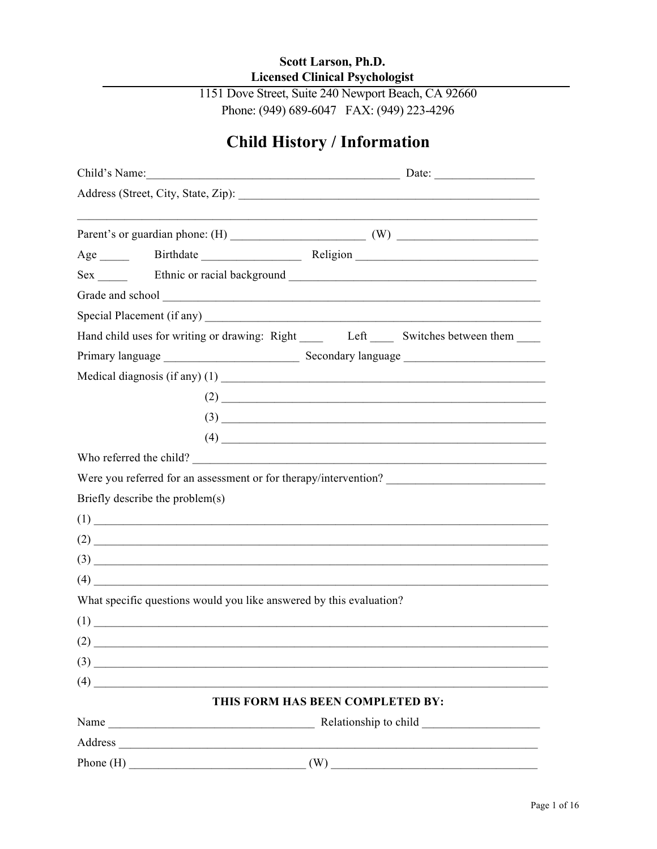## Scott Larson, Ph.D. **Licensed Clinical Psychologist**

1151 Dove Street, Suite 240 Newport Beach, CA 92660 Phone: (949) 689-6047 FAX: (949) 223-4296

# **Child History / Information**

|     | Child's Name: Date: Date: Date:                                                                                                                                                                                                |     |                                                                                                                                                                                                                                                                                                                                                                                                                                                                    |  |  |  |  |  |
|-----|--------------------------------------------------------------------------------------------------------------------------------------------------------------------------------------------------------------------------------|-----|--------------------------------------------------------------------------------------------------------------------------------------------------------------------------------------------------------------------------------------------------------------------------------------------------------------------------------------------------------------------------------------------------------------------------------------------------------------------|--|--|--|--|--|
|     |                                                                                                                                                                                                                                |     |                                                                                                                                                                                                                                                                                                                                                                                                                                                                    |  |  |  |  |  |
|     |                                                                                                                                                                                                                                |     |                                                                                                                                                                                                                                                                                                                                                                                                                                                                    |  |  |  |  |  |
|     |                                                                                                                                                                                                                                |     |                                                                                                                                                                                                                                                                                                                                                                                                                                                                    |  |  |  |  |  |
|     |                                                                                                                                                                                                                                |     |                                                                                                                                                                                                                                                                                                                                                                                                                                                                    |  |  |  |  |  |
|     | Grade and school expression of the state of the state of the state of the state of the state of the state of the state of the state of the state of the state of the state of the state of the state of the state of the state |     |                                                                                                                                                                                                                                                                                                                                                                                                                                                                    |  |  |  |  |  |
|     |                                                                                                                                                                                                                                |     |                                                                                                                                                                                                                                                                                                                                                                                                                                                                    |  |  |  |  |  |
|     | Hand child uses for writing or drawing: Right _______ Left _______ Switches between them ______                                                                                                                                |     |                                                                                                                                                                                                                                                                                                                                                                                                                                                                    |  |  |  |  |  |
|     |                                                                                                                                                                                                                                |     |                                                                                                                                                                                                                                                                                                                                                                                                                                                                    |  |  |  |  |  |
|     |                                                                                                                                                                                                                                |     |                                                                                                                                                                                                                                                                                                                                                                                                                                                                    |  |  |  |  |  |
|     |                                                                                                                                                                                                                                |     | $(2)$ $\overline{\phantom{a}}$                                                                                                                                                                                                                                                                                                                                                                                                                                     |  |  |  |  |  |
|     |                                                                                                                                                                                                                                |     | $(3)$ $\overline{\phantom{a}}$                                                                                                                                                                                                                                                                                                                                                                                                                                     |  |  |  |  |  |
|     |                                                                                                                                                                                                                                |     | $(4) \begin{tabular}{l} \hline \rule[1cm]{0cm}{0cm} \multicolumn{2}{c}{} & \multicolumn{2}{c}{} & \multicolumn{2}{c}{} \\ \hline \rule[1cm]{0cm}{0cm} \multicolumn{2}{c}{} & \multicolumn{2}{c}{} & \multicolumn{2}{c}{} \\ \hline \rule[1cm]{0cm}{0cm} \multicolumn{2}{c}{} & \multicolumn{2}{c}{} & \multicolumn{2}{c}{} \\ \hline \rule[1cm]{0cm}{0cm} \multicolumn{2}{c}{} & \multicolumn{2}{c}{} & \multicolumn{2}{c}{} \\ \hline \rule[1cm]{0cm}{0cm} \mult$ |  |  |  |  |  |
|     | Who referred the child?                                                                                                                                                                                                        |     |                                                                                                                                                                                                                                                                                                                                                                                                                                                                    |  |  |  |  |  |
|     |                                                                                                                                                                                                                                |     |                                                                                                                                                                                                                                                                                                                                                                                                                                                                    |  |  |  |  |  |
|     | Briefly describe the problem(s)                                                                                                                                                                                                |     |                                                                                                                                                                                                                                                                                                                                                                                                                                                                    |  |  |  |  |  |
|     | $(1)$ $\overline{\phantom{a}}$                                                                                                                                                                                                 |     |                                                                                                                                                                                                                                                                                                                                                                                                                                                                    |  |  |  |  |  |
|     | $(2)$ $\overline{\phantom{a}}$                                                                                                                                                                                                 |     |                                                                                                                                                                                                                                                                                                                                                                                                                                                                    |  |  |  |  |  |
|     |                                                                                                                                                                                                                                |     |                                                                                                                                                                                                                                                                                                                                                                                                                                                                    |  |  |  |  |  |
|     |                                                                                                                                                                                                                                |     |                                                                                                                                                                                                                                                                                                                                                                                                                                                                    |  |  |  |  |  |
|     | What specific questions would you like answered by this evaluation?                                                                                                                                                            |     |                                                                                                                                                                                                                                                                                                                                                                                                                                                                    |  |  |  |  |  |
|     | (1)                                                                                                                                                                                                                            |     |                                                                                                                                                                                                                                                                                                                                                                                                                                                                    |  |  |  |  |  |
| (2) |                                                                                                                                                                                                                                |     |                                                                                                                                                                                                                                                                                                                                                                                                                                                                    |  |  |  |  |  |
|     | $\left(3\right)$                                                                                                                                                                                                               |     |                                                                                                                                                                                                                                                                                                                                                                                                                                                                    |  |  |  |  |  |
|     | $(4)$                                                                                                                                                                                                                          |     |                                                                                                                                                                                                                                                                                                                                                                                                                                                                    |  |  |  |  |  |
|     | THIS FORM HAS BEEN COMPLETED BY:                                                                                                                                                                                               |     |                                                                                                                                                                                                                                                                                                                                                                                                                                                                    |  |  |  |  |  |
|     |                                                                                                                                                                                                                                |     |                                                                                                                                                                                                                                                                                                                                                                                                                                                                    |  |  |  |  |  |
|     | Address and the contract of the contract of the contract of the contract of the contract of the contract of the contract of the contract of the contract of the contract of the contract of the contract of the contract of th |     |                                                                                                                                                                                                                                                                                                                                                                                                                                                                    |  |  |  |  |  |
|     | Phone $(H)$                                                                                                                                                                                                                    | (W) |                                                                                                                                                                                                                                                                                                                                                                                                                                                                    |  |  |  |  |  |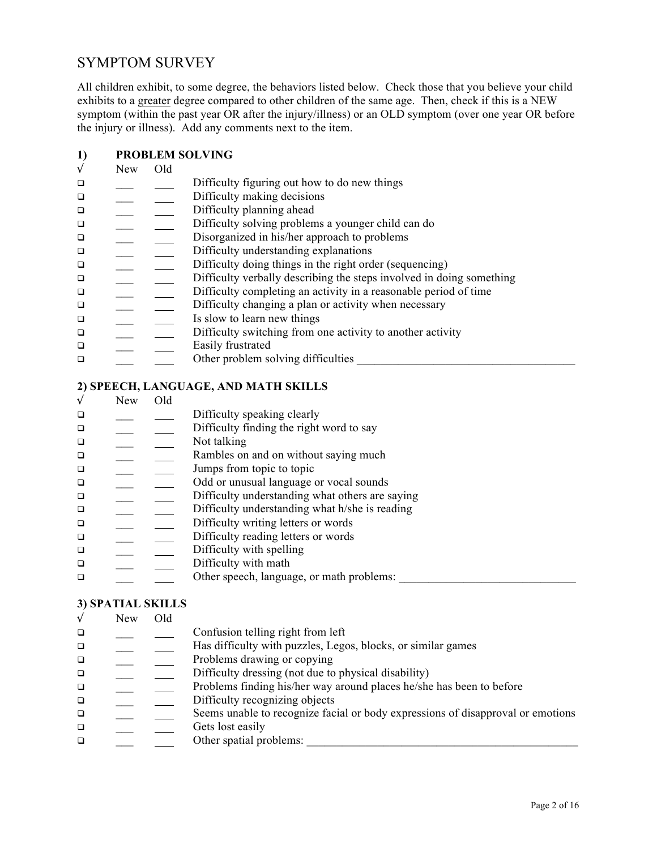## SYMPTOM SURVEY

All children exhibit, to some degree, the behaviors listed below. Check those that you believe your child exhibits to a greater degree compared to other children of the same age. Then, check if this is a NEW symptom (within the past year OR after the injury/illness) or an OLD symptom (over one year OR before the injury or illness). Add any comments next to the item.

#### **1) PROBLEM SOLVING**

| $\sqrt{}$ | <b>New</b> | Old |                                                                      |
|-----------|------------|-----|----------------------------------------------------------------------|
| $\Box$    |            |     | Difficulty figuring out how to do new things                         |
| $\Box$    |            |     | Difficulty making decisions                                          |
| $\Box$    |            |     | Difficulty planning ahead                                            |
| $\Box$    |            |     | Difficulty solving problems a younger child can do                   |
| $\Box$    |            |     | Disorganized in his/her approach to problems                         |
| $\Box$    |            |     | Difficulty understanding explanations                                |
| $\Box$    |            |     | Difficulty doing things in the right order (sequencing)              |
| $\Box$    |            |     | Difficulty verbally describing the steps involved in doing something |
| $\Box$    |            |     | Difficulty completing an activity in a reasonable period of time     |
| $\Box$    |            |     | Difficulty changing a plan or activity when necessary                |
| $\Box$    |            |     | Is slow to learn new things                                          |
| $\Box$    |            |     | Difficulty switching from one activity to another activity           |
| $\Box$    |            |     | Easily frustrated                                                    |
| $\Box$    |            |     | Other problem solving difficulties                                   |

#### **2) SPEECH, LANGUAGE, AND MATH SKILLS**

√ New Old **q** \_\_\_ Difficulty speaking clearly  $\Box$  Difficulty finding the right word to say  $\Box$  Not talking q and  $\Box$  Rambles on and on without saying much **q and**  $\Box$  Jumps from topic to topic  $\Box$  Odd or unusual language or vocal sounds **q b** Difficulty understanding what others are saying<br> **b** Difficulty understanding what h/she is reading  $\Box$  Difficulty understanding what h/she is reading  $\Box$  Difficulty writing letters or words  $\Box$  Difficulty reading letters or words  $\Box$  Difficulty with spelling  $\Box$  Difficulty with math  $\Box$  Other speech, language, or math problems:

## **3) SPATIAL SKILLS**

| $\sqrt{ }$ | <b>New</b> | Old |                                                                                 |
|------------|------------|-----|---------------------------------------------------------------------------------|
| $\Box$     |            |     | Confusion telling right from left                                               |
| $\Box$     |            |     | Has difficulty with puzzles, Legos, blocks, or similar games                    |
| $\Box$     |            |     | Problems drawing or copying                                                     |
| $\Box$     |            |     | Difficulty dressing (not due to physical disability)                            |
| $\Box$     |            |     | Problems finding his/her way around places he/she has been to before            |
| $\Box$     |            |     | Difficulty recognizing objects                                                  |
| $\Box$     |            |     | Seems unable to recognize facial or body expressions of disapproval or emotions |
| $\Box$     |            |     | Gets lost easily                                                                |
| $\Box$     |            |     | Other spatial problems:                                                         |
|            |            |     |                                                                                 |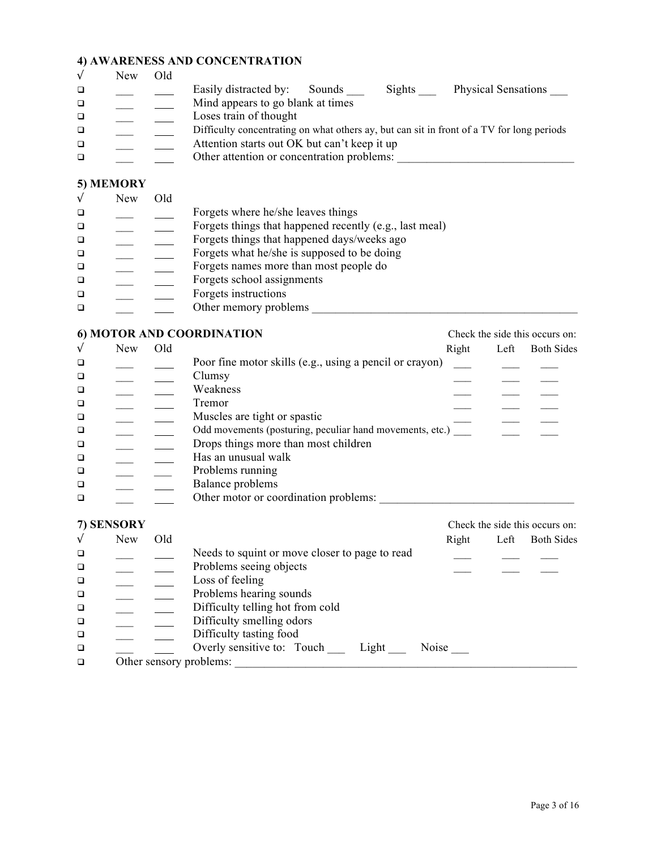## **4) AWARENESS AND CONCENTRATION**

|   | New | Old |                                                                                           |
|---|-----|-----|-------------------------------------------------------------------------------------------|
| □ |     |     | <b>Physical Sensations</b><br>Easily distracted by:<br>Sights<br>Sounds                   |
| □ |     |     | Mind appears to go blank at times                                                         |
| □ |     |     | Loses train of thought                                                                    |
| □ |     |     | Difficulty concentrating on what others ay, but can sit in front of a TV for long periods |
| □ |     |     | Attention starts out OK but can't keep it up                                              |
|   |     |     | Other attention or concentration problems:                                                |

## **5) MEMORY**

| Old<br><b>New</b>                                       |  |
|---------------------------------------------------------|--|
| Forgets where he/she leaves things<br>□                 |  |
| Forgets things that happened recently (e.g., last meal) |  |
| Forgets things that happened days/weeks ago             |  |
| Forgets what he/she is supposed to be doing             |  |
| Forgets names more than most people do                  |  |
| Forgets school assignments                              |  |
| Forgets instructions                                    |  |
| Other memory problems                                   |  |

## **6) MOTOR AND COORDINATION** Check the side this occurs on:

|        | <b>New</b> | Old |                                                          | Right | Left | <b>Both Sides</b> |
|--------|------------|-----|----------------------------------------------------------|-------|------|-------------------|
| $\Box$ |            |     | Poor fine motor skills (e.g., using a pencil or crayon)  |       |      |                   |
| $\Box$ |            |     | Clumsy                                                   |       |      |                   |
| $\Box$ |            |     | Weakness                                                 |       |      |                   |
| $\Box$ |            |     | Tremor                                                   |       |      |                   |
| $\Box$ |            |     | Muscles are tight or spastic                             |       |      |                   |
| $\Box$ |            |     | Odd movements (posturing, peculiar hand movements, etc.) |       |      |                   |
| $\Box$ |            |     | Drops things more than most children                     |       |      |                   |
| $\Box$ |            |     | Has an unusual walk                                      |       |      |                   |
| $\Box$ |            |     | Problems running                                         |       |      |                   |
| $\Box$ |            |     | Balance problems                                         |       |      |                   |
| $\Box$ |            |     | Other motor or coordination problems:                    |       |      |                   |
|        |            |     |                                                          |       |      |                   |

#### **7) SENSORY** Check the side this occurs on:

| 1.04110011   |     |     |                                                |              |      | Choon the side this occurs on. |
|--------------|-----|-----|------------------------------------------------|--------------|------|--------------------------------|
| $\checkmark$ | New | Old |                                                | Right        | Left | <b>Both Sides</b>              |
| $\Box$       |     |     | Needs to squint or move closer to page to read |              |      |                                |
| $\Box$       |     |     | Problems seeing objects                        |              |      |                                |
| $\Box$       |     |     | Loss of feeling                                |              |      |                                |
| $\Box$       |     |     | Problems hearing sounds                        |              |      |                                |
| $\Box$       |     |     | Difficulty telling hot from cold               |              |      |                                |
| $\Box$       |     |     | Difficulty smelling odors                      |              |      |                                |
| $\Box$       |     |     | Difficulty tasting food                        |              |      |                                |
| $\Box$       |     |     | Overly sensitive to: Touch<br>Light            | <b>Noise</b> |      |                                |
| □            |     |     | Other sensory problems:                        |              |      |                                |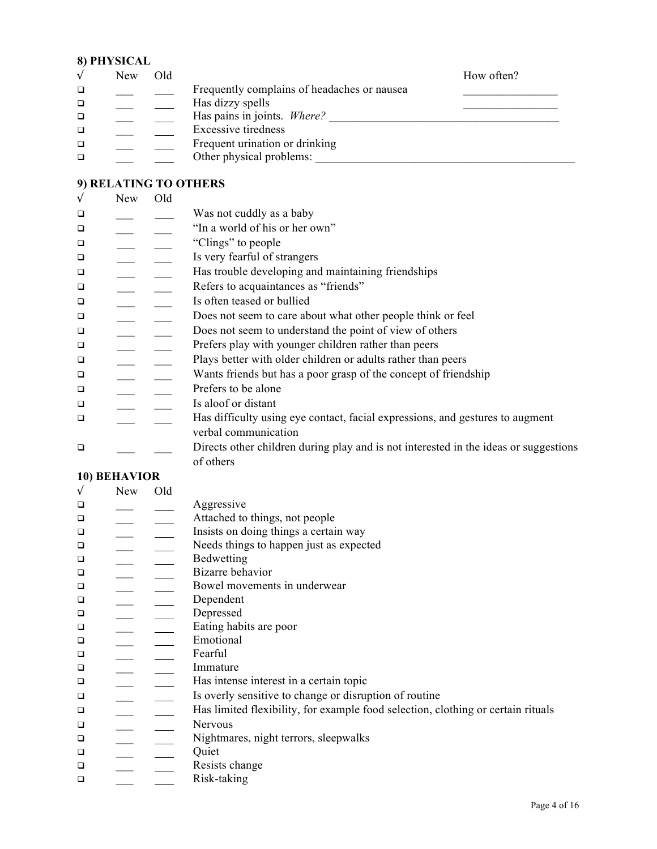## **8) PHYSICAL**

|   | New. | Old |                                             | How often? |
|---|------|-----|---------------------------------------------|------------|
| □ |      |     | Frequently complains of headaches or nausea |            |
| □ |      |     | Has dizzy spells                            |            |
| □ |      |     | Has pains in joints. Where?                 |            |
|   |      |     | <b>Excessive tiredness</b>                  |            |
| □ |      |     | Frequent urination or drinking              |            |
|   |      |     | Other physical problems:                    |            |

## **9) RELATING TO OTHERS**

| $\sqrt{ }$ | New | Old |                                                                                      |
|------------|-----|-----|--------------------------------------------------------------------------------------|
| $\Box$     |     |     | Was not cuddly as a baby                                                             |
| $\Box$     |     |     | "In a world of his or her own"                                                       |
| $\Box$     |     |     | "Clings" to people                                                                   |
| $\Box$     |     |     | Is very fearful of strangers                                                         |
| $\Box$     |     |     | Has trouble developing and maintaining friendships                                   |
| $\Box$     |     |     | Refers to acquaintances as "friends"                                                 |
| $\Box$     |     |     | Is often teased or bullied                                                           |
| □          |     |     | Does not seem to care about what other people think or feel                          |
| $\Box$     |     |     | Does not seem to understand the point of view of others                              |
| $\Box$     |     |     | Prefers play with younger children rather than peers                                 |
| $\Box$     |     |     | Plays better with older children or adults rather than peers                         |
| $\Box$     |     |     | Wants friends but has a poor grasp of the concept of friendship                      |
| $\Box$     |     |     | Prefers to be alone                                                                  |
| $\Box$     |     |     | Is aloof or distant                                                                  |
| $\Box$     |     |     | Has difficulty using eye contact, facial expressions, and gestures to augment        |
|            |     |     | verbal communication                                                                 |
| $\Box$     |     |     | Directs other children during play and is not interested in the ideas or suggestions |
|            |     |     | of others                                                                            |

## **10) BEHAVIOR**

| $\sqrt{ }$ | New | Old |                                                                                  |
|------------|-----|-----|----------------------------------------------------------------------------------|
| $\Box$     |     |     | Aggressive                                                                       |
| $\Box$     |     |     | Attached to things, not people                                                   |
| $\Box$     |     |     | Insists on doing things a certain way                                            |
| $\Box$     |     |     | Needs things to happen just as expected                                          |
| $\Box$     |     |     | Bedwetting                                                                       |
| $\Box$     |     |     | Bizarre behavior                                                                 |
| $\Box$     |     |     | Bowel movements in underwear                                                     |
| $\Box$     |     |     | Dependent                                                                        |
| $\Box$     |     |     | Depressed                                                                        |
| $\Box$     |     |     | Eating habits are poor                                                           |
| $\Box$     |     |     | Emotional                                                                        |
| $\Box$     |     |     | Fearful                                                                          |
| $\Box$     |     |     | Immature                                                                         |
| $\Box$     |     |     | Has intense interest in a certain topic                                          |
| $\Box$     |     |     | Is overly sensitive to change or disruption of routine                           |
| $\Box$     |     |     | Has limited flexibility, for example food selection, clothing or certain rituals |
| $\Box$     |     |     | Nervous                                                                          |
| $\Box$     |     |     | Nightmares, night terrors, sleepwalks                                            |
| $\Box$     |     |     | Quiet                                                                            |
| $\Box$     |     |     | Resists change                                                                   |
| $\Box$     |     |     | Risk-taking                                                                      |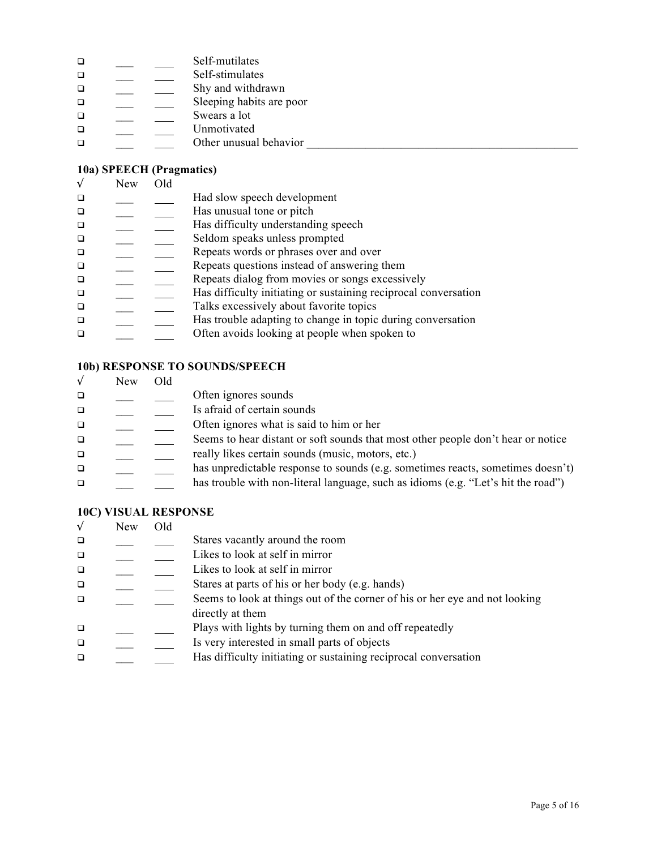| $\Box$ |  | Self-mutilates           |
|--------|--|--------------------------|
| □      |  | Self-stimulates          |
| $\Box$ |  | Shy and withdrawn        |
| $\Box$ |  | Sleeping habits are poor |
| $\Box$ |  | Swears a lot             |
| $\Box$ |  | Unmotivated              |
| □      |  | Other unusual behavior   |

## **10a) SPEECH (Pragmatics)**

|        | <b>New</b> | Old |                                                                 |
|--------|------------|-----|-----------------------------------------------------------------|
|        |            |     | Had slow speech development                                     |
| $\Box$ |            |     | Has unusual tone or pitch                                       |
| $\Box$ |            |     | Has difficulty understanding speech                             |
| $\Box$ |            |     | Seldom speaks unless prompted                                   |
| $\Box$ |            |     | Repeats words or phrases over and over                          |
| $\Box$ |            |     | Repeats questions instead of answering them                     |
| $\Box$ |            |     | Repeats dialog from movies or songs excessively                 |
| $\Box$ |            |     | Has difficulty initiating or sustaining reciprocal conversation |
| $\Box$ |            |     | Talks excessively about favorite topics                         |
| $\Box$ |            |     | Has trouble adapting to change in topic during conversation     |
|        |            |     | Often avoids looking at people when spoken to                   |
|        |            |     |                                                                 |

## **10b) RESPONSE TO SOUNDS/SPEECH**

|        | <b>New</b> | Old |                                                                                   |
|--------|------------|-----|-----------------------------------------------------------------------------------|
| $\Box$ |            |     | Often ignores sounds                                                              |
| $\Box$ |            |     | Is afraid of certain sounds                                                       |
| $\Box$ |            |     | Often ignores what is said to him or her                                          |
| $\Box$ |            |     | Seems to hear distant or soft sounds that most other people don't hear or notice  |
| $\Box$ |            |     | really likes certain sounds (music, motors, etc.)                                 |
| $\Box$ |            |     | has unpredictable response to sounds (e.g. sometimes reacts, sometimes doesn't)   |
| $\Box$ |            |     | has trouble with non-literal language, such as idioms (e.g. "Let's hit the road") |
|        |            |     |                                                                                   |

## **10C) VISUAL RESPONSE**

| $\sqrt{}$ | <b>New</b> | Old |                                                                             |
|-----------|------------|-----|-----------------------------------------------------------------------------|
| $\Box$    |            |     | Stares vacantly around the room                                             |
| $\Box$    |            |     | Likes to look at self in mirror                                             |
| $\Box$    |            |     | Likes to look at self in mirror                                             |
| $\Box$    |            |     | Stares at parts of his or her body (e.g. hands)                             |
| $\Box$    |            |     | Seems to look at things out of the corner of his or her eye and not looking |
|           |            |     | directly at them                                                            |
| $\Box$    |            |     | Plays with lights by turning them on and off repeatedly                     |
| $\Box$    |            |     | Is very interested in small parts of objects                                |
| $\Box$    |            |     | Has difficulty initiating or sustaining reciprocal conversation             |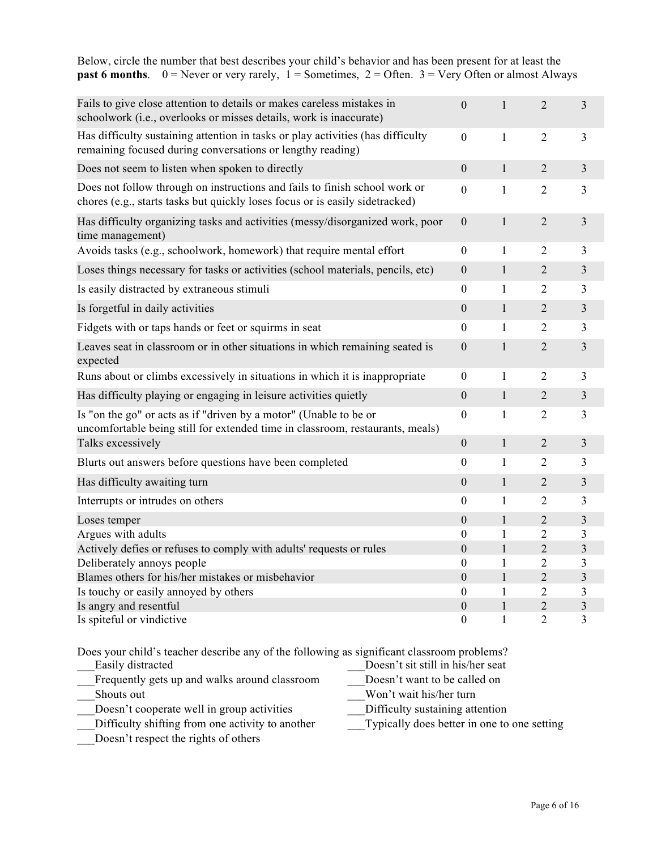| <b>past 6 months</b> . $0 =$ Never or very rarely, $1 =$ Sometimes, $2 =$ Often. $3 =$ Very Often or almost Always                                         |                  |              |                |                         |
|------------------------------------------------------------------------------------------------------------------------------------------------------------|------------------|--------------|----------------|-------------------------|
| Fails to give close attention to details or makes careless mistakes in<br>schoolwork (i.e., overlooks or misses details, work is inaccurate)               | $\mathbf{0}$     | $\mathbf{1}$ | $\overline{2}$ | 3                       |
| Has difficulty sustaining attention in tasks or play activities (has difficulty<br>remaining focused during conversations or lengthy reading)              | $\mathbf{0}$     | $\mathbf{1}$ | $\overline{2}$ | $\overline{3}$          |
| Does not seem to listen when spoken to directly                                                                                                            | $\overline{0}$   | $\mathbf{1}$ | $\overline{2}$ | $\overline{3}$          |
| Does not follow through on instructions and fails to finish school work or<br>chores (e.g., starts tasks but quickly loses focus or is easily sidetracked) | $\boldsymbol{0}$ | $\mathbf{1}$ | 2              | 3                       |
| Has difficulty organizing tasks and activities (messy/disorganized work, poor<br>time management)                                                          | $\boldsymbol{0}$ | $\mathbf{1}$ | $\overline{2}$ | 3                       |
| Avoids tasks (e.g., schoolwork, homework) that require mental effort                                                                                       | $\boldsymbol{0}$ | $\mathbf{1}$ | 2              | 3                       |
| Loses things necessary for tasks or activities (school materials, pencils, etc)                                                                            | $\boldsymbol{0}$ | $\mathbf{1}$ | $\overline{2}$ | 3                       |
| Is easily distracted by extraneous stimuli                                                                                                                 | $\overline{0}$   | $\mathbf{1}$ | 2              | 3                       |
| Is forgetful in daily activities                                                                                                                           | $\boldsymbol{0}$ | $\mathbf{1}$ | 2              | 3                       |
| Fidgets with or taps hands or feet or squirms in seat                                                                                                      | $\theta$         | $\mathbf{1}$ | $\overline{2}$ | $\overline{3}$          |
| Leaves seat in classroom or in other situations in which remaining seated is<br>expected                                                                   | $\boldsymbol{0}$ | $\mathbf{1}$ | $\overline{2}$ | 3                       |
| Runs about or climbs excessively in situations in which it is inappropriate                                                                                | $\theta$         | $\mathbf{1}$ | $\overline{2}$ | 3                       |
| Has difficulty playing or engaging in leisure activities quietly                                                                                           | $\boldsymbol{0}$ | $\mathbf{1}$ | $\overline{2}$ | $\mathfrak{Z}$          |
| Is "on the go" or acts as if "driven by a motor" (Unable to be or<br>uncomfortable being still for extended time in classroom, restaurants, meals)         | $\overline{0}$   | $\mathbf{1}$ | $\overline{2}$ | 3                       |
| Talks excessively                                                                                                                                          | $\boldsymbol{0}$ | $\mathbf{1}$ | $\overline{2}$ | 3                       |
| Blurts out answers before questions have been completed                                                                                                    | $\theta$         | 1            | 2              | 3                       |
| Has difficulty awaiting turn                                                                                                                               | $\mathbf{0}$     | $\mathbf{1}$ | $\overline{2}$ | 3                       |
| Interrupts or intrudes on others                                                                                                                           | $\boldsymbol{0}$ | $\mathbf{1}$ | 2              | 3                       |
| Loses temper                                                                                                                                               | $\mathbf{0}$     | $\mathbf{1}$ | $\overline{2}$ | $\overline{3}$          |
| Argues with adults                                                                                                                                         | $\overline{0}$   | $\mathbf{1}$ | $\overline{2}$ | 3                       |
| Actively defies or refuses to comply with adults' requests or rules                                                                                        | $\boldsymbol{0}$ | $\mathbf{1}$ | $\overline{2}$ | 3                       |
| Deliberately annoys people                                                                                                                                 | $\theta$         | 1            | $\sqrt{2}$     | $\mathfrak{Z}$          |
| Blames others for his/her mistakes or misbehavior                                                                                                          | $\overline{0}$   | $\mathbf{1}$ | $\overline{2}$ | $\overline{\mathbf{3}}$ |
| Is touchy or easily annoyed by others                                                                                                                      | $\theta$         | $\mathbf{1}$ | $\overline{2}$ | 3                       |
| Is angry and resentful                                                                                                                                     | $\overline{0}$   | 1            | $\overline{2}$ | 3                       |
| Is spiteful or vindictive                                                                                                                                  | $\boldsymbol{0}$ | 1            | $\overline{2}$ | 3                       |

Below, circle the number that best describes your child's behavior and has been present for at least the

Does your child's teacher describe any of the following as significant classroom problems?

| Easily distracted                             | Doesn't sit still in his/her seat |
|-----------------------------------------------|-----------------------------------|
| Frequently gets up and walks around classroom | Doesn't want to be called on      |
| Shouts out                                    | Won't wait his/her turn           |
| Doesn't cooperate well in group activities    | Difficulty sustaining attention   |

Is spiteful or vindictive  $0 \t 1 \t 2 \t 3$ 

Difficulty shifting from one activity to another Typically does better in one to one setting

\_\_\_Doesn't respect the rights of others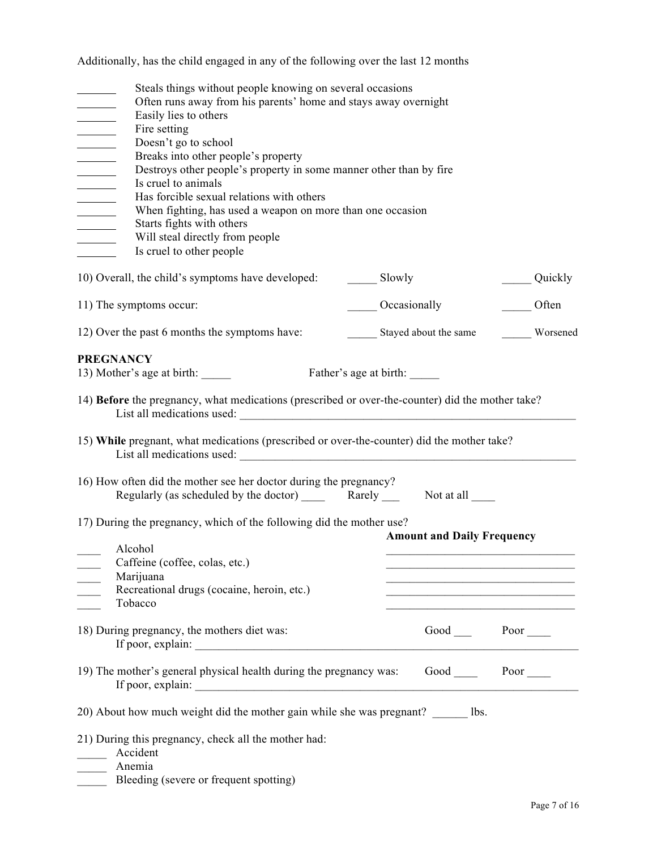Additionally, has the child engaged in any of the following over the last 12 months

| Steals things without people knowing on several occasions<br>Often runs away from his parents' home and stays away overnight<br><b>Committee</b><br>Easily lies to others<br>Fire setting<br>$\frac{1}{1}$<br>Doesn't go to school<br>Breaks into other people's property<br>$\mathcal{L}^{\text{max}}$ , and $\mathcal{L}^{\text{max}}$<br>Destroys other people's property in some manner other than by fire<br>$\overline{\phantom{a}}$<br>Is cruel to animals<br>$\mathcal{L}^{\text{max}}$ , and $\mathcal{L}^{\text{max}}$<br>Has forcible sexual relations with others<br>$\overline{\phantom{a}}$<br>When fighting, has used a weapon on more than one occasion |                        |                                                                                                                                                                                     |          |
|-------------------------------------------------------------------------------------------------------------------------------------------------------------------------------------------------------------------------------------------------------------------------------------------------------------------------------------------------------------------------------------------------------------------------------------------------------------------------------------------------------------------------------------------------------------------------------------------------------------------------------------------------------------------------|------------------------|-------------------------------------------------------------------------------------------------------------------------------------------------------------------------------------|----------|
| Starts fights with others<br>$\overline{\phantom{a}}$<br>Will steal directly from people<br>Is cruel to other people                                                                                                                                                                                                                                                                                                                                                                                                                                                                                                                                                    |                        |                                                                                                                                                                                     |          |
| 10) Overall, the child's symptoms have developed:                                                                                                                                                                                                                                                                                                                                                                                                                                                                                                                                                                                                                       | Slowly                 |                                                                                                                                                                                     | Quickly  |
| 11) The symptoms occur:                                                                                                                                                                                                                                                                                                                                                                                                                                                                                                                                                                                                                                                 |                        | Occasionally                                                                                                                                                                        | Often    |
| 12) Over the past 6 months the symptoms have:                                                                                                                                                                                                                                                                                                                                                                                                                                                                                                                                                                                                                           |                        | Stayed about the same                                                                                                                                                               | Worsened |
| <b>PREGNANCY</b><br>13) Mother's age at birth:<br>14) Before the pregnancy, what medications (prescribed or over-the-counter) did the mother take?                                                                                                                                                                                                                                                                                                                                                                                                                                                                                                                      | Father's age at birth: |                                                                                                                                                                                     |          |
| 15) While pregnant, what medications (prescribed or over-the-counter) did the mother take?<br>List all medications used: List all medications used:                                                                                                                                                                                                                                                                                                                                                                                                                                                                                                                     |                        |                                                                                                                                                                                     |          |
| 16) How often did the mother see her doctor during the pregnancy?<br>Regularly (as scheduled by the doctor) Rarely Not at all Regularly (as scheduled by the doctor) Rarely                                                                                                                                                                                                                                                                                                                                                                                                                                                                                             |                        |                                                                                                                                                                                     |          |
| 17) During the pregnancy, which of the following did the mother use?<br>Alcohol                                                                                                                                                                                                                                                                                                                                                                                                                                                                                                                                                                                         |                        | <b>Amount and Daily Frequency</b>                                                                                                                                                   |          |
| Caffeine (coffee, colas, etc.)<br>Marijuana<br>Recreational drugs (cocaine, heroin, etc.)<br>Tobacco                                                                                                                                                                                                                                                                                                                                                                                                                                                                                                                                                                    |                        | <u> 1989 - Johann Barbara, martxa al III-lea (h. 1989).</u><br><u> 1980 - Johann John Stone, mars eta bat eta bat eta bat eta bat eta bat eta bat eta bat eta bat eta bat eta b</u> |          |
| 18) During pregnancy, the mothers diet was:                                                                                                                                                                                                                                                                                                                                                                                                                                                                                                                                                                                                                             |                        | Good Poor                                                                                                                                                                           |          |
| 19) The mother's general physical health during the pregnancy was: Good _______ Poor _____<br>If poor, explain:                                                                                                                                                                                                                                                                                                                                                                                                                                                                                                                                                         |                        |                                                                                                                                                                                     |          |
| 20) About how much weight did the mother gain while she was pregnant? lbs.                                                                                                                                                                                                                                                                                                                                                                                                                                                                                                                                                                                              |                        |                                                                                                                                                                                     |          |
| 21) During this pregnancy, check all the mother had:<br>Accident                                                                                                                                                                                                                                                                                                                                                                                                                                                                                                                                                                                                        |                        |                                                                                                                                                                                     |          |

Bleeding (severe or frequent spotting)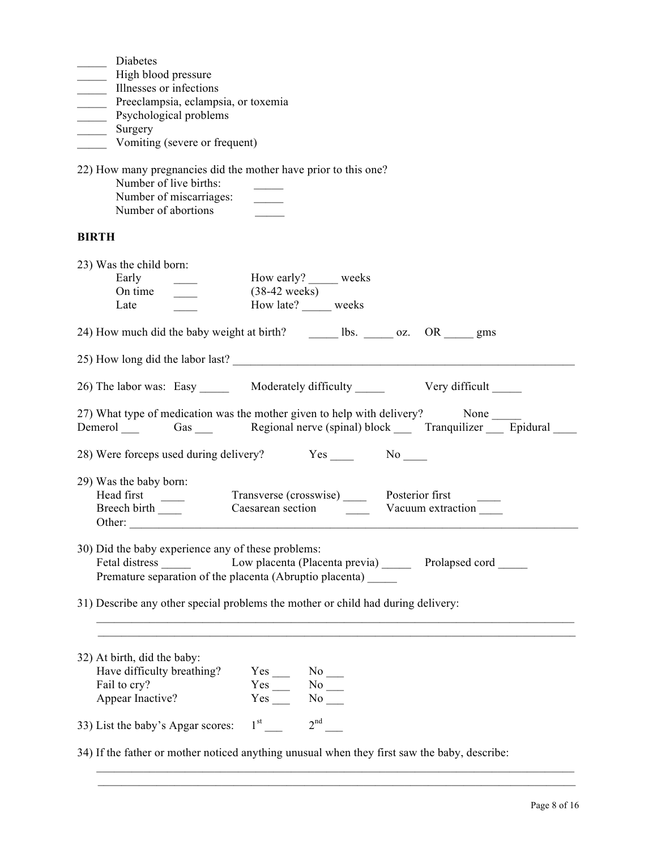34) If the father or mother noticed anything unusual when they first saw the baby, describe:

 $\mathcal{L}_\text{max} = \mathcal{L}_\text{max} = \mathcal{L}_\text{max} = \mathcal{L}_\text{max} = \mathcal{L}_\text{max} = \mathcal{L}_\text{max} = \mathcal{L}_\text{max} = \mathcal{L}_\text{max} = \mathcal{L}_\text{max} = \mathcal{L}_\text{max} = \mathcal{L}_\text{max} = \mathcal{L}_\text{max} = \mathcal{L}_\text{max} = \mathcal{L}_\text{max} = \mathcal{L}_\text{max} = \mathcal{L}_\text{max} = \mathcal{L}_\text{max} = \mathcal{L}_\text{max} = \mathcal{$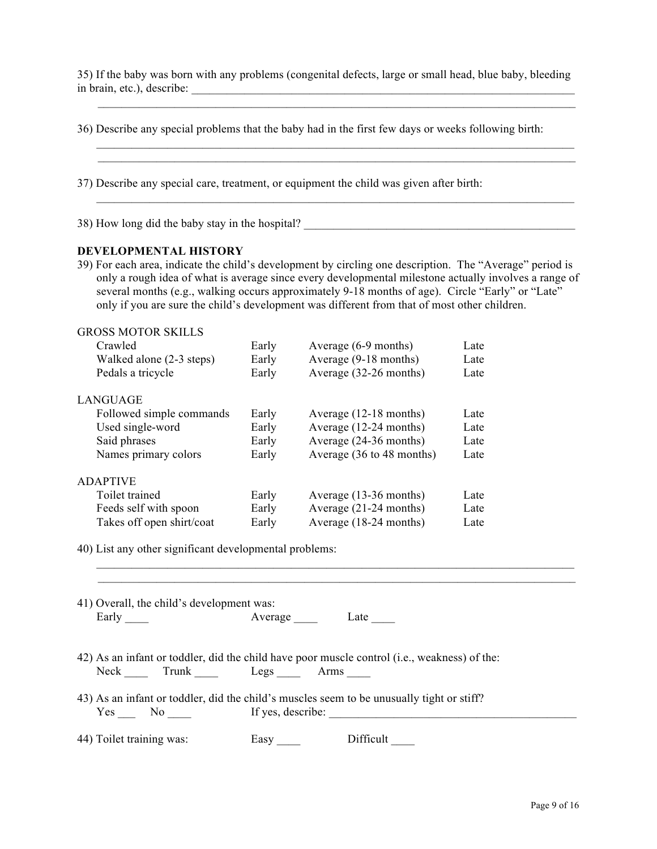35) If the baby was born with any problems (congenital defects, large or small head, blue baby, bleeding in brain, etc.), describe: \_\_\_\_\_\_\_\_\_\_\_\_\_\_\_\_\_\_\_\_\_\_\_\_\_\_\_\_\_\_\_\_\_\_\_\_\_\_\_\_\_\_\_\_\_\_\_\_\_\_\_\_\_\_\_\_\_\_\_\_\_\_\_\_\_

\_\_\_\_\_\_\_\_\_\_\_\_\_\_\_\_\_\_\_\_\_\_\_\_\_\_\_\_\_\_\_\_\_\_\_\_\_\_\_\_\_\_\_\_\_\_\_\_\_\_\_\_\_\_\_\_\_\_\_\_\_\_\_\_\_\_\_\_\_\_\_\_\_\_\_\_\_\_\_\_\_

|                          |                                                        |                      | 36) Describe any special problems that the baby had in the first few days or weeks following birth:                                                                                                                                                                                                                                                                                                                   |      |
|--------------------------|--------------------------------------------------------|----------------------|-----------------------------------------------------------------------------------------------------------------------------------------------------------------------------------------------------------------------------------------------------------------------------------------------------------------------------------------------------------------------------------------------------------------------|------|
|                          |                                                        |                      | 37) Describe any special care, treatment, or equipment the child was given after birth:                                                                                                                                                                                                                                                                                                                               |      |
|                          | 38) How long did the baby stay in the hospital?        |                      |                                                                                                                                                                                                                                                                                                                                                                                                                       |      |
|                          | DEVELOPMENTAL HISTORY                                  |                      |                                                                                                                                                                                                                                                                                                                                                                                                                       |      |
|                          |                                                        |                      | 39) For each area, indicate the child's development by circling one description. The "Average" period is<br>only a rough idea of what is average since every developmental milestone actually involves a range of<br>several months (e.g., walking occurs approximately 9-18 months of age). Circle "Early" or "Late"<br>only if you are sure the child's development was different from that of most other children. |      |
|                          | <b>GROSS MOTOR SKILLS</b>                              |                      |                                                                                                                                                                                                                                                                                                                                                                                                                       |      |
| Crawled                  |                                                        | Early                | Average (6-9 months)                                                                                                                                                                                                                                                                                                                                                                                                  | Late |
|                          | Walked alone (2-3 steps)                               | Early                | Average (9-18 months)                                                                                                                                                                                                                                                                                                                                                                                                 | Late |
|                          | Pedals a tricycle                                      | Early                | Average (32-26 months)                                                                                                                                                                                                                                                                                                                                                                                                | Late |
| <b>LANGUAGE</b>          |                                                        |                      |                                                                                                                                                                                                                                                                                                                                                                                                                       |      |
|                          | Followed simple commands                               | Early                | Average (12-18 months)                                                                                                                                                                                                                                                                                                                                                                                                | Late |
|                          | Used single-word                                       | Early                | Average (12-24 months)                                                                                                                                                                                                                                                                                                                                                                                                | Late |
| Said phrases             |                                                        | Early                | Average (24-36 months)                                                                                                                                                                                                                                                                                                                                                                                                | Late |
|                          | Names primary colors                                   | Early                | Average (36 to 48 months)                                                                                                                                                                                                                                                                                                                                                                                             | Late |
| <b>ADAPTIVE</b>          |                                                        |                      |                                                                                                                                                                                                                                                                                                                                                                                                                       |      |
| Toilet trained           |                                                        | Early                | Average (13-36 months)                                                                                                                                                                                                                                                                                                                                                                                                | Late |
|                          | Feeds self with spoon                                  | Early                | Average (21-24 months)                                                                                                                                                                                                                                                                                                                                                                                                | Late |
|                          | Takes off open shirt/coat                              | Early                | Average (18-24 months)                                                                                                                                                                                                                                                                                                                                                                                                | Late |
|                          | 40) List any other significant developmental problems: |                      |                                                                                                                                                                                                                                                                                                                                                                                                                       |      |
|                          |                                                        |                      |                                                                                                                                                                                                                                                                                                                                                                                                                       |      |
| Early $\frac{1}{2}$      | 41) Overall, the child's development was:              |                      | Average Late                                                                                                                                                                                                                                                                                                                                                                                                          |      |
|                          | Neck Trunk Legs Arms                                   |                      | 42) As an infant or toddler, did the child have poor muscle control (i.e., weakness) of the:                                                                                                                                                                                                                                                                                                                          |      |
|                          | $Yes \_\_ No \_\_$                                     |                      | 43) As an infant or toddler, did the child's muscles seem to be unusually tight or stiff?<br>If yes, describe:                                                                                                                                                                                                                                                                                                        |      |
| 44) Toilet training was: |                                                        | Easy $\_\_\_\_\_\_\$ | Difficult_                                                                                                                                                                                                                                                                                                                                                                                                            |      |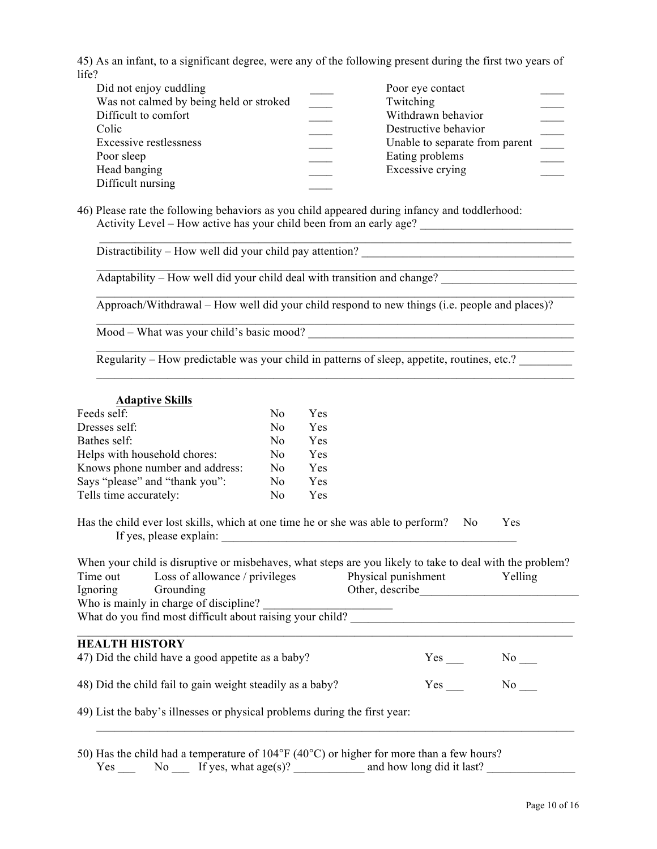45) As an infant, to a significant degree, were any of the following present during the first two years of life?

| Did not enjoy cuddling                  | Poor eye contact               |  |
|-----------------------------------------|--------------------------------|--|
| Was not calmed by being held or stroked | Twitching                      |  |
| Difficult to comfort                    | Withdrawn behavior             |  |
| Colic                                   | Destructive behavior           |  |
| <b>Excessive restlessness</b>           | Unable to separate from parent |  |
| Poor sleep                              | Eating problems                |  |
| Head banging                            | Excessive crying               |  |
| Difficult nursing                       |                                |  |

46) Please rate the following behaviors as you child appeared during infancy and toddlerhood: Activity Level – How active has your child been from an early age?

 $D$  istractibility – How well did your child pay attention?

 $\overline{\text{Adaptability} - \text{How well did your child deal with transition and change?}}$ 

Approach/Withdrawal – How well did your child respond to new things (i.e. people and places)?

 $\mathcal{L}_\mathcal{L} = \mathcal{L}_\mathcal{L} = \mathcal{L}_\mathcal{L} = \mathcal{L}_\mathcal{L} = \mathcal{L}_\mathcal{L} = \mathcal{L}_\mathcal{L} = \mathcal{L}_\mathcal{L} = \mathcal{L}_\mathcal{L} = \mathcal{L}_\mathcal{L} = \mathcal{L}_\mathcal{L} = \mathcal{L}_\mathcal{L} = \mathcal{L}_\mathcal{L} = \mathcal{L}_\mathcal{L} = \mathcal{L}_\mathcal{L} = \mathcal{L}_\mathcal{L} = \mathcal{L}_\mathcal{L} = \mathcal{L}_\mathcal{L}$ 

 $\mathcal{L}_\text{max} = \mathcal{L}_\text{max} = \mathcal{L}_\text{max} = \mathcal{L}_\text{max} = \mathcal{L}_\text{max} = \mathcal{L}_\text{max} = \mathcal{L}_\text{max} = \mathcal{L}_\text{max} = \mathcal{L}_\text{max} = \mathcal{L}_\text{max} = \mathcal{L}_\text{max} = \mathcal{L}_\text{max} = \mathcal{L}_\text{max} = \mathcal{L}_\text{max} = \mathcal{L}_\text{max} = \mathcal{L}_\text{max} = \mathcal{L}_\text{max} = \mathcal{L}_\text{max} = \mathcal{$ 

 $\mathcal{L}_\text{max} = \mathcal{L}_\text{max} = \mathcal{L}_\text{max} = \mathcal{L}_\text{max} = \mathcal{L}_\text{max} = \mathcal{L}_\text{max} = \mathcal{L}_\text{max} = \mathcal{L}_\text{max} = \mathcal{L}_\text{max} = \mathcal{L}_\text{max} = \mathcal{L}_\text{max} = \mathcal{L}_\text{max} = \mathcal{L}_\text{max} = \mathcal{L}_\text{max} = \mathcal{L}_\text{max} = \mathcal{L}_\text{max} = \mathcal{L}_\text{max} = \mathcal{L}_\text{max} = \mathcal{$ 

 $\mathcal{L}_\text{max} = \mathcal{L}_\text{max} = \mathcal{L}_\text{max} = \mathcal{L}_\text{max} = \mathcal{L}_\text{max} = \mathcal{L}_\text{max} = \mathcal{L}_\text{max} = \mathcal{L}_\text{max} = \mathcal{L}_\text{max} = \mathcal{L}_\text{max} = \mathcal{L}_\text{max} = \mathcal{L}_\text{max} = \mathcal{L}_\text{max} = \mathcal{L}_\text{max} = \mathcal{L}_\text{max} = \mathcal{L}_\text{max} = \mathcal{L}_\text{max} = \mathcal{L}_\text{max} = \mathcal{$ 

 $\mathcal{L}_\text{max} = \mathcal{L}_\text{max} = \mathcal{L}_\text{max} = \mathcal{L}_\text{max} = \mathcal{L}_\text{max} = \mathcal{L}_\text{max} = \mathcal{L}_\text{max} = \mathcal{L}_\text{max} = \mathcal{L}_\text{max} = \mathcal{L}_\text{max} = \mathcal{L}_\text{max} = \mathcal{L}_\text{max} = \mathcal{L}_\text{max} = \mathcal{L}_\text{max} = \mathcal{L}_\text{max} = \mathcal{L}_\text{max} = \mathcal{L}_\text{max} = \mathcal{L}_\text{max} = \mathcal{$ 

 $\mathcal{L}_\text{max} = \mathcal{L}_\text{max} = \mathcal{L}_\text{max} = \mathcal{L}_\text{max} = \mathcal{L}_\text{max} = \mathcal{L}_\text{max} = \mathcal{L}_\text{max} = \mathcal{L}_\text{max} = \mathcal{L}_\text{max} = \mathcal{L}_\text{max} = \mathcal{L}_\text{max} = \mathcal{L}_\text{max} = \mathcal{L}_\text{max} = \mathcal{L}_\text{max} = \mathcal{L}_\text{max} = \mathcal{L}_\text{max} = \mathcal{L}_\text{max} = \mathcal{L}_\text{max} = \mathcal{$ 

Mood – What was your child's basic mood?

Regularity – How predictable was your child in patterns of sleep, appetite, routines, etc.?

#### **Adaptive Skills**

| N <sub>0</sub> | Yes |
|----------------|-----|
| N <sub>0</sub> | Yes |
| N <sub>0</sub> | Yes |
| N0             | Yes |
| N <sub>0</sub> | Yes |
| No             | Yes |
| Nο             | Yes |
|                |     |

Has the child ever lost skills, which at one time he or she was able to perform? No Yes If yes, please explain:

| When your child is disruptive or misbehaves, what steps are you likely to take to deal with the problem? |                                                                         |                     |                 |     |  |  |  |
|----------------------------------------------------------------------------------------------------------|-------------------------------------------------------------------------|---------------------|-----------------|-----|--|--|--|
| Loss of allowance / privileges<br>Time out                                                               |                                                                         | Physical punishment | Yelling         |     |  |  |  |
| Ignoring                                                                                                 | Grounding                                                               |                     | Other, describe |     |  |  |  |
|                                                                                                          | Who is mainly in charge of discipline?                                  |                     |                 |     |  |  |  |
|                                                                                                          | What do you find most difficult about raising your child?               |                     |                 |     |  |  |  |
|                                                                                                          |                                                                         |                     |                 |     |  |  |  |
| <b>HEALTH HISTORY</b>                                                                                    |                                                                         |                     |                 |     |  |  |  |
|                                                                                                          | 47) Did the child have a good appetite as a baby?                       |                     | Yes             | No. |  |  |  |
|                                                                                                          | 48) Did the child fail to gain weight steadily as a baby?<br>Yes<br>No. |                     |                 |     |  |  |  |
| 49) List the baby's illnesses or physical problems during the first year:                                |                                                                         |                     |                 |     |  |  |  |
|                                                                                                          |                                                                         |                     |                 |     |  |  |  |

50) Has the child had a temperature of 104°F (40°C) or higher for more than a few hours?  $Yes \_\_$  No  $\_\_$  If yes, what age(s)?  $\_\_$  and how long did it last?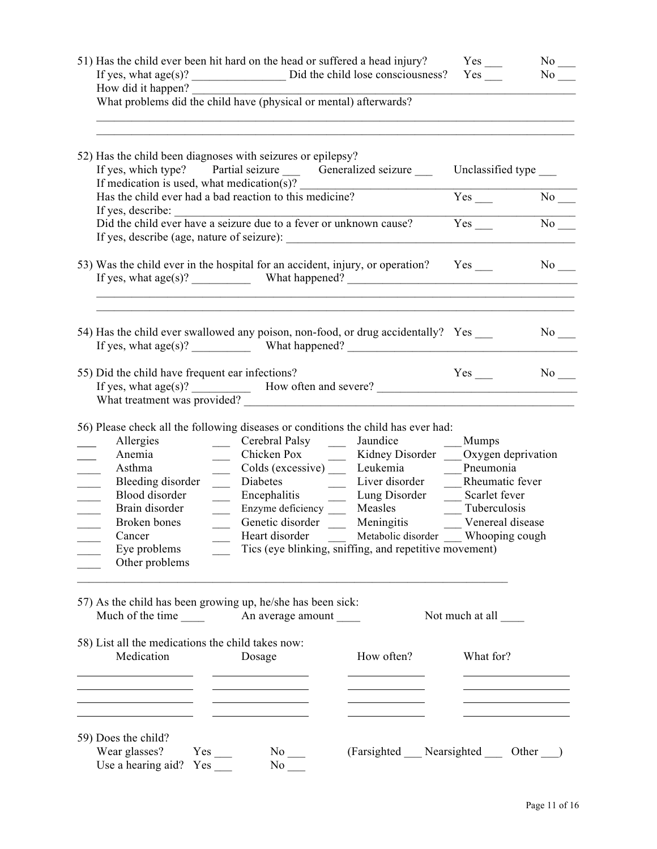| 51) Has the child ever been hit hard on the head or suffered a head injury?<br>How did it happen?<br>What problems did the child have (physical or mental) afterwards?                                                                                                                                                                                                                                                                                                                                                                                                                                                                                    | $Yes$ <sub>—</sub><br>$No$ <sub>___</sub><br>No No                                                                                   |
|-----------------------------------------------------------------------------------------------------------------------------------------------------------------------------------------------------------------------------------------------------------------------------------------------------------------------------------------------------------------------------------------------------------------------------------------------------------------------------------------------------------------------------------------------------------------------------------------------------------------------------------------------------------|--------------------------------------------------------------------------------------------------------------------------------------|
| 52) Has the child been diagnoses with seizures or epilepsy?<br>If yes, which type? Partial seizure _______ Generalized seizure _______<br>If medication is used, what medication(s)?                                                                                                                                                                                                                                                                                                                                                                                                                                                                      | Unclassified type ____                                                                                                               |
| Has the child ever had a bad reaction to this medicine?                                                                                                                                                                                                                                                                                                                                                                                                                                                                                                                                                                                                   | $Yes$ <sub>___</sub><br>$No$ <sub>—</sub>                                                                                            |
|                                                                                                                                                                                                                                                                                                                                                                                                                                                                                                                                                                                                                                                           | $\overline{No}$<br>Yes                                                                                                               |
| 53) Was the child ever in the hospital for an accident, injury, or operation? Yes                                                                                                                                                                                                                                                                                                                                                                                                                                                                                                                                                                         | No                                                                                                                                   |
| 54) Has the child ever swallowed any poison, non-food, or drug accidentally? Yes<br>If yes, what $age(s)?$ What happened?<br>55) Did the child have frequent ear infections?                                                                                                                                                                                                                                                                                                                                                                                                                                                                              | No<br>$Yes$ <sub>___</sub><br>$No$ <sub>___</sub>                                                                                    |
| If yes, what $age(s)?$ How often and severe?                                                                                                                                                                                                                                                                                                                                                                                                                                                                                                                                                                                                              |                                                                                                                                      |
| 56) Please check all the following diseases or conditions the child has ever had:<br>Cerebral Palsy<br>Jaundice<br>Allergies<br>$\frac{1}{2}$<br>Anemia<br>Chicken Pox ______<br>Colds (excessive) _____ Leukemia _________Pneumonia<br>Asthma<br>Bleeding disorder ______<br>Encephalitis ________ Lung Disorder ______ Scarlet fever<br>Blood disorder<br>$\frac{1}{2}$<br>Measles<br>Brain disorder<br>Enzyme deficiency ____<br>$\frac{1}{2}$<br>$\mathcal{L}^{\text{max}}$<br>Meningitis<br>Genetic disorder<br>Broken bones<br>Heart disorder<br>Cancer<br>Tics (eye blinking, sniffing, and repetitive movement)<br>Eye problems<br>Other problems | <b>Mumps</b><br>Kidney Disorder ____ Oxygen deprivation<br>Tuberculosis<br>Venereal disease<br>Metabolic disorder ___ Whooping cough |
| 57) As the child has been growing up, he/she has been sick:                                                                                                                                                                                                                                                                                                                                                                                                                                                                                                                                                                                               | Not much at all                                                                                                                      |
| 58) List all the medications the child takes now:<br>Medication<br>How often?<br>Dosage                                                                                                                                                                                                                                                                                                                                                                                                                                                                                                                                                                   | What for?                                                                                                                            |
| the control of the control of the control of the control of<br>the control of the control of the<br><u> 1989 - Johann Barnett, fransk politik (d. 1989)</u><br>the contract of the contract of the contract of the<br>59) Does the child?<br>Wear glasses?<br>$No$ <sub>—</sub><br>$Yes$ <sub>—</sub><br>Use a hearing aid?<br>No                                                                                                                                                                                                                                                                                                                         | (Farsighted Nearsighted Other )                                                                                                      |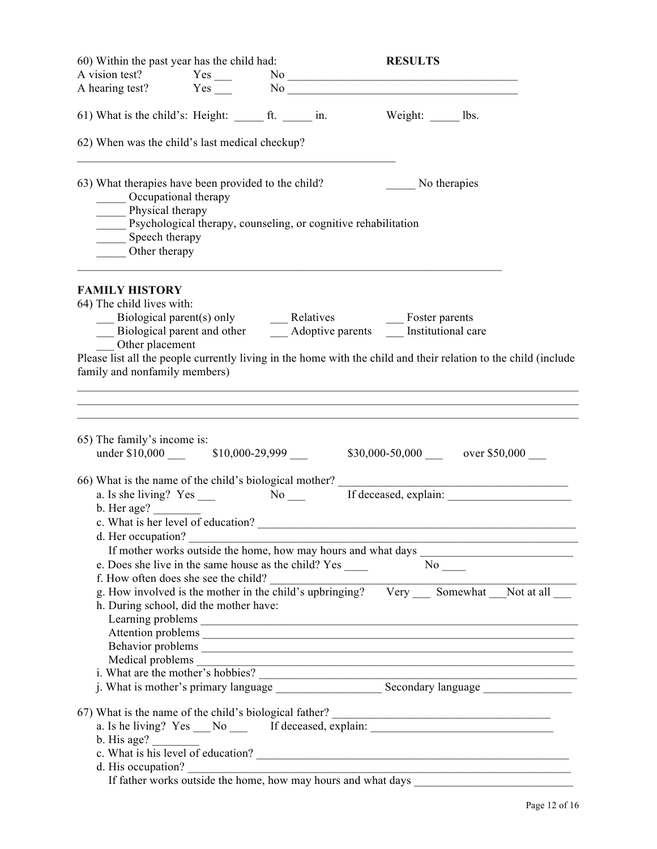| 60) Within the past year has the child had:                                                                                              |                                                                                                                                                                                         |  | <b>RESULTS</b>                                                                                                                                                                                                                                                                                                |  |
|------------------------------------------------------------------------------------------------------------------------------------------|-----------------------------------------------------------------------------------------------------------------------------------------------------------------------------------------|--|---------------------------------------------------------------------------------------------------------------------------------------------------------------------------------------------------------------------------------------------------------------------------------------------------------------|--|
|                                                                                                                                          |                                                                                                                                                                                         |  |                                                                                                                                                                                                                                                                                                               |  |
|                                                                                                                                          |                                                                                                                                                                                         |  |                                                                                                                                                                                                                                                                                                               |  |
| 61) What is the child's: Height: $f(x) = f(x)$ in.                                                                                       |                                                                                                                                                                                         |  | $Weight:$ 1bs.                                                                                                                                                                                                                                                                                                |  |
| 62) When was the child's last medical checkup?                                                                                           |                                                                                                                                                                                         |  |                                                                                                                                                                                                                                                                                                               |  |
| 63) What therapies have been provided to the child?<br>_____ Occupational therapy<br>Physical therapy<br>Speech therapy<br>Other therapy | _____ Psychological therapy, counseling, or cognitive rehabilitation                                                                                                                    |  | No therapies                                                                                                                                                                                                                                                                                                  |  |
| <b>FAMILY HISTORY</b><br>64) The child lives with:<br>Other placement<br>family and nonfamily members)                                   |                                                                                                                                                                                         |  | Biological parent(s) only<br>Biological parent and other<br>Moptive parents<br>Moptive parents<br>Moptive parents<br>Moptive parents<br>Mostronal care<br>Please list all the people currently living in the home with the child and their relation to the child (include                                     |  |
|                                                                                                                                          |                                                                                                                                                                                         |  |                                                                                                                                                                                                                                                                                                               |  |
| 65) The family's income is:<br>b. Her age?                                                                                               |                                                                                                                                                                                         |  | under \$10,000 	 \$10,000-29,999 	 \$30,000-50,000 	 over \$50,000 	 _                                                                                                                                                                                                                                        |  |
|                                                                                                                                          | d. Her occupation?<br>e. Does she live in the same house as the child? Yes ______<br>f. How often does she see the child?<br>h. During school, did the mother have:<br>Medical problems |  | If mother works outside the home, how may hours and what days<br>$N_0$ <sub>_____</sub><br>g. How involved is the mother in the child's upbringing? Very __ Somewhat __Not at all __<br><u> 1989 - Johann Barn, mars ann an t-Amhain an t-Amhain an t-Amhain an t-Amhain an t-Amhain an t-Amhain an t-Amh</u> |  |
|                                                                                                                                          |                                                                                                                                                                                         |  |                                                                                                                                                                                                                                                                                                               |  |
| b. His age?                                                                                                                              |                                                                                                                                                                                         |  | 67) What is the name of the child's biological father?<br>a. Is he living? Yes ___No _____ If deceased, explain: __________________________<br>c. What is his level of education?<br>d. His occupation?<br>If father works outside the home, how may hours and what days                                      |  |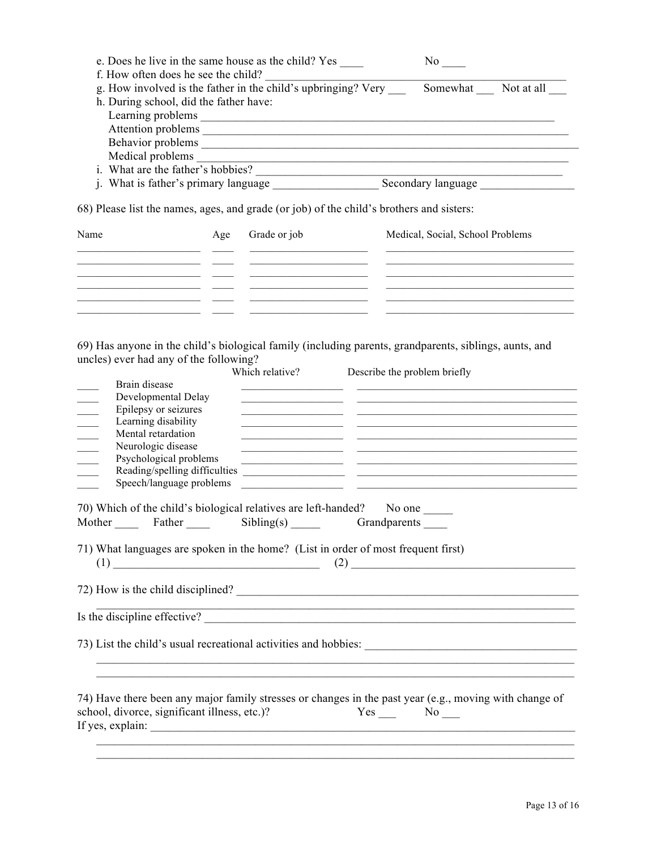| e. Does he live in the same house as the child? Yes<br>f. How often does he see the child?                                  |     |                 |                              | No results.                                                                                                                                                                                                                                                       |                                                                                                                                                                                                                                                                                                                                                                                                                               |
|-----------------------------------------------------------------------------------------------------------------------------|-----|-----------------|------------------------------|-------------------------------------------------------------------------------------------------------------------------------------------------------------------------------------------------------------------------------------------------------------------|-------------------------------------------------------------------------------------------------------------------------------------------------------------------------------------------------------------------------------------------------------------------------------------------------------------------------------------------------------------------------------------------------------------------------------|
| g. How involved is the father in the child's upbringing? Very                                                               |     |                 |                              |                                                                                                                                                                                                                                                                   | Somewhat Not at all                                                                                                                                                                                                                                                                                                                                                                                                           |
| h. During school, did the father have:                                                                                      |     |                 |                              |                                                                                                                                                                                                                                                                   |                                                                                                                                                                                                                                                                                                                                                                                                                               |
|                                                                                                                             |     |                 |                              |                                                                                                                                                                                                                                                                   |                                                                                                                                                                                                                                                                                                                                                                                                                               |
|                                                                                                                             |     |                 |                              |                                                                                                                                                                                                                                                                   |                                                                                                                                                                                                                                                                                                                                                                                                                               |
|                                                                                                                             |     |                 |                              |                                                                                                                                                                                                                                                                   |                                                                                                                                                                                                                                                                                                                                                                                                                               |
|                                                                                                                             |     |                 |                              |                                                                                                                                                                                                                                                                   |                                                                                                                                                                                                                                                                                                                                                                                                                               |
| i. What are the father's hobbies?                                                                                           |     |                 |                              |                                                                                                                                                                                                                                                                   |                                                                                                                                                                                                                                                                                                                                                                                                                               |
|                                                                                                                             |     |                 |                              |                                                                                                                                                                                                                                                                   |                                                                                                                                                                                                                                                                                                                                                                                                                               |
| 68) Please list the names, ages, and grade (or job) of the child's brothers and sisters:<br>Name                            | Age | Grade or job    |                              | Medical, Social, School Problems<br>the control of the control of the control of the control of the control of the control of the control of the control of the control of the control of the control of the control of the control of the control of the control |                                                                                                                                                                                                                                                                                                                                                                                                                               |
| <u> 1990 - Andrea Santana, Amerikaansk politiker (* 1900)</u><br><u> 1989 - Jan James James, politik fizikar (h. 1982).</u> |     |                 |                              |                                                                                                                                                                                                                                                                   | <u> 1989 - Johann John Stone, markin fizik eta idazlea (</u><br><u> La contrada de la contrada de la contrada de la contrada de la contrada de la contrada de la contrada de la c</u><br><u>state and the state of the state of the state of the state of the state of the state of the state of the state of the state of the state of the state of the state of the state of the state of the state of the state of the</u> |
| 69) Has anyone in the child's biological family (including parents, grandparents, siblings, aunts, and                      |     |                 |                              |                                                                                                                                                                                                                                                                   |                                                                                                                                                                                                                                                                                                                                                                                                                               |
| uncles) ever had any of the following?                                                                                      |     |                 |                              |                                                                                                                                                                                                                                                                   |                                                                                                                                                                                                                                                                                                                                                                                                                               |
| Rrain disease                                                                                                               |     | Which relative? | Describe the problem briefly |                                                                                                                                                                                                                                                                   |                                                                                                                                                                                                                                                                                                                                                                                                                               |

| Brain disease                                                                     | <u> 1989 - Johann John Stein, fransk kommunist (f. 1989)</u>                                                                                                                                                                                    |
|-----------------------------------------------------------------------------------|-------------------------------------------------------------------------------------------------------------------------------------------------------------------------------------------------------------------------------------------------|
| Developmental Delay<br>Epilepsy or seizures                                       | <u> 1989 - Andrea Santa Andrea Santa Andrea Santa Andrea Santa Andrea Santa Andrea Santa Andrea Santa Andrea San</u>                                                                                                                            |
| $\frac{1}{\sqrt{1-\frac{1}{2}}}$<br>Learning disability                           | <u> 1990 - Johann John Stoff, deutscher Stoff und der Stoff und der Stoff und der Stoff und der Stoff und der Stoff</u><br><u> 1989 - Johann John Stein, synsk politiker og det blev og det blev og det blev og det blev og det blev og det</u> |
| Mental retardation<br>$\overline{\phantom{a}}$                                    | <u> 1989 - Johann Harry Barn, mars and deutscher Stadt and deutscher Stadt and deutscher Stadt and deutscher Stadt</u>                                                                                                                          |
| Neurologic disease                                                                | <u> 1989 - Johann Harry Harry Harry Harry Harry Harry Harry Harry Harry Harry Harry Harry Harry Harry Harry Harry</u>                                                                                                                           |
| Psychological problems                                                            | <u> 1990 - Jan James James James James James James James James James James James James James James James James J</u>                                                                                                                            |
| Reading/spelling difficulties                                                     |                                                                                                                                                                                                                                                 |
| Speech/language problems                                                          | <u> 1989 - Johann John Stone, mars et al. 1989 - John Stone, mars et al. 1989 - John Stone, mars et al. 1989 - Joh</u>                                                                                                                          |
| 70) Which of the child's biological relatives are left-handed? No one _____       |                                                                                                                                                                                                                                                 |
| Mother Father Sibling(s) Grandparents                                             |                                                                                                                                                                                                                                                 |
|                                                                                   |                                                                                                                                                                                                                                                 |
| 71) What languages are spoken in the home? (List in order of most frequent first) |                                                                                                                                                                                                                                                 |
|                                                                                   |                                                                                                                                                                                                                                                 |
|                                                                                   |                                                                                                                                                                                                                                                 |
|                                                                                   | 72) How is the child disciplined?                                                                                                                                                                                                               |
|                                                                                   |                                                                                                                                                                                                                                                 |
|                                                                                   | Is the discipline effective?                                                                                                                                                                                                                    |
|                                                                                   |                                                                                                                                                                                                                                                 |
|                                                                                   |                                                                                                                                                                                                                                                 |
|                                                                                   |                                                                                                                                                                                                                                                 |
|                                                                                   |                                                                                                                                                                                                                                                 |
|                                                                                   |                                                                                                                                                                                                                                                 |
|                                                                                   | 74) Have there been any major family stresses or changes in the past year (e.g., moving with change of                                                                                                                                          |
| school, divorce, significant illness, etc.)?                                      | $Yes \_ No \_$                                                                                                                                                                                                                                  |
|                                                                                   |                                                                                                                                                                                                                                                 |
|                                                                                   |                                                                                                                                                                                                                                                 |

 $\mathcal{L}_\text{max} = \mathcal{L}_\text{max} = \mathcal{L}_\text{max} = \mathcal{L}_\text{max} = \mathcal{L}_\text{max} = \mathcal{L}_\text{max} = \mathcal{L}_\text{max} = \mathcal{L}_\text{max} = \mathcal{L}_\text{max} = \mathcal{L}_\text{max} = \mathcal{L}_\text{max} = \mathcal{L}_\text{max} = \mathcal{L}_\text{max} = \mathcal{L}_\text{max} = \mathcal{L}_\text{max} = \mathcal{L}_\text{max} = \mathcal{L}_\text{max} = \mathcal{L}_\text{max} = \mathcal{$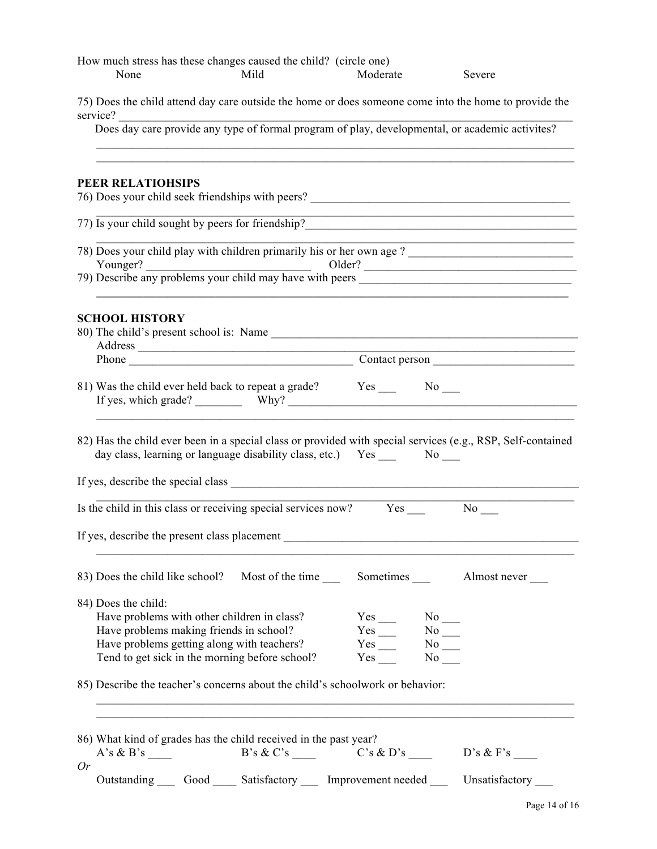|          | None                  |                                              | How much stress has these changes caused the child? (circle one)<br>Mild                                                                    | Moderate                                                                 |                                        | Severe                                                                                                                                                                                                                           |
|----------|-----------------------|----------------------------------------------|---------------------------------------------------------------------------------------------------------------------------------------------|--------------------------------------------------------------------------|----------------------------------------|----------------------------------------------------------------------------------------------------------------------------------------------------------------------------------------------------------------------------------|
| service? |                       |                                              |                                                                                                                                             |                                                                          |                                        | 75) Does the child attend day care outside the home or does someone come into the home to provide the                                                                                                                            |
|          |                       |                                              |                                                                                                                                             |                                                                          |                                        | vice?<br>Does day care provide any type of formal program of play, developmental, or academic activites?                                                                                                                         |
|          | PEER RELATIOHSIPS     |                                              |                                                                                                                                             |                                                                          |                                        |                                                                                                                                                                                                                                  |
|          |                       |                                              |                                                                                                                                             |                                                                          |                                        | 77) Is your child sought by peers for friendship?<br>The manufactured of the sound of the sound of the sound of the sound of the sound of the sound of the sound of the sound of the sound of the sound of the sound of the soun |
|          |                       |                                              |                                                                                                                                             |                                                                          |                                        | Younger?<br>The Younger of the Supervisor of the Supervisor of the Supervisor of the Supervisor of the Supervisor of the Supervisor of the Supervisor of the Supervisor of the Supervisor of the Supervisor of the Supervisor of |
|          | <b>SCHOOL HISTORY</b> |                                              |                                                                                                                                             |                                                                          |                                        | <u> 1980 - Johann John Stone, meil er fan de ferske fan de ferske fan de ferske fan de ferske fan de ferske fan d</u><br>Phone Contact person contact person                                                                     |
|          |                       |                                              |                                                                                                                                             |                                                                          |                                        |                                                                                                                                                                                                                                  |
|          |                       |                                              | day class, learning or language disability class, etc.) Yes No                                                                              |                                                                          |                                        | 82) Has the child ever been in a special class or provided with special services (e.g., RSP, Self-contained                                                                                                                      |
|          |                       |                                              | Is the child in this class or receiving special services now? Yes                                                                           |                                                                          |                                        | $No$ <sub>—</sub>                                                                                                                                                                                                                |
|          |                       | If yes, describe the present class placement |                                                                                                                                             |                                                                          |                                        |                                                                                                                                                                                                                                  |
|          |                       |                                              |                                                                                                                                             |                                                                          |                                        |                                                                                                                                                                                                                                  |
|          | 84) Does the child:   | Have problems making friends in school?      | Have problems with other children in class?<br>Have problems getting along with teachers?<br>Tend to get sick in the morning before school? | $Yes \_ No \_$<br>$Yes$ <sub>___</sub><br>$Yes$ <sub>___</sub><br>Yes No | $No$ <sub>—</sub><br>$No$ <sub>—</sub> |                                                                                                                                                                                                                                  |
|          |                       |                                              | 85) Describe the teacher's concerns about the child's schoolwork or behavior:                                                               |                                                                          |                                        |                                                                                                                                                                                                                                  |
| Or       |                       |                                              | 86) What kind of grades has the child received in the past year?                                                                            |                                                                          |                                        | $A's \& B's$ B's $\& C's$ C's $\& D's$ D's $\& F's$                                                                                                                                                                              |
|          |                       |                                              |                                                                                                                                             |                                                                          |                                        | Outstanding Good Satisfactory Improvement needed Unsatisfactory                                                                                                                                                                  |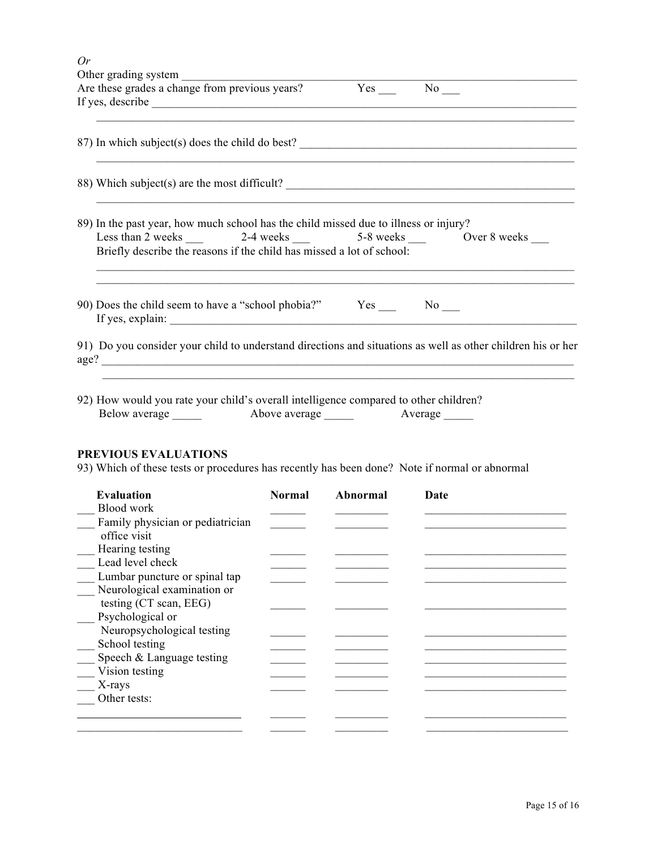| Or |                                                                                                                                                                                                                                                                                                                                 |
|----|---------------------------------------------------------------------------------------------------------------------------------------------------------------------------------------------------------------------------------------------------------------------------------------------------------------------------------|
|    |                                                                                                                                                                                                                                                                                                                                 |
|    | <u> 1980 - Johann John Stone, mensk foar it ferskearre fan de ferskearre fan de ferskearre fan de ferskearre fan </u><br>87) In which subject(s) does the child do best?                                                                                                                                                        |
|    | 88) Which subject(s) are the most difficult?                                                                                                                                                                                                                                                                                    |
|    | 89) In the past year, how much school has the child missed due to illness or injury?<br>Less than 2 weeks ______ 2-4 weeks _____ 5-8 weeks _____ Over 8 weeks ____<br>Briefly describe the reasons if the child has missed a lot of school:<br>,我们也不会有什么。""我们的人,我们也不会有什么?""我们的人,我们也不会有什么?""我们的人,我们也不会有什么?""我们的人,我们也不会有什么?""我们的人 |
|    | 90) Does the child seem to have a "school phobia?" Yes ______ No ____                                                                                                                                                                                                                                                           |
|    | 91) Do you consider your child to understand directions and situations as well as other children his or her<br>age?                                                                                                                                                                                                             |
|    | 92) How would you rate your child's overall intelligence compared to other children?                                                                                                                                                                                                                                            |

| 92) How would you rate your child s overall intelligence compared to other childrel |               |         |
|-------------------------------------------------------------------------------------|---------------|---------|
| Below average                                                                       | Above average | Average |

## **PREVIOUS EVALUATIONS**

93) Which of these tests or procedures has recently has been done? Note if normal or abnormal

| <b>Evaluation</b>                | <b>Normal</b> | Abnormal | Date |
|----------------------------------|---------------|----------|------|
| Blood work                       |               |          |      |
| Family physician or pediatrician |               |          |      |
| office visit                     |               |          |      |
| Hearing testing                  |               |          |      |
| Lead level check                 |               |          |      |
| Lumbar puncture or spinal tap    |               |          |      |
| Neurological examination or      |               |          |      |
| testing (CT scan, EEG)           |               |          |      |
| Psychological or                 |               |          |      |
| Neuropsychological testing       |               |          |      |
| School testing                   |               |          |      |
| Speech & Language testing        |               |          |      |
| Vision testing                   |               |          |      |
| X-rays                           |               |          |      |
| Other tests:                     |               |          |      |
|                                  |               |          |      |
|                                  |               |          |      |